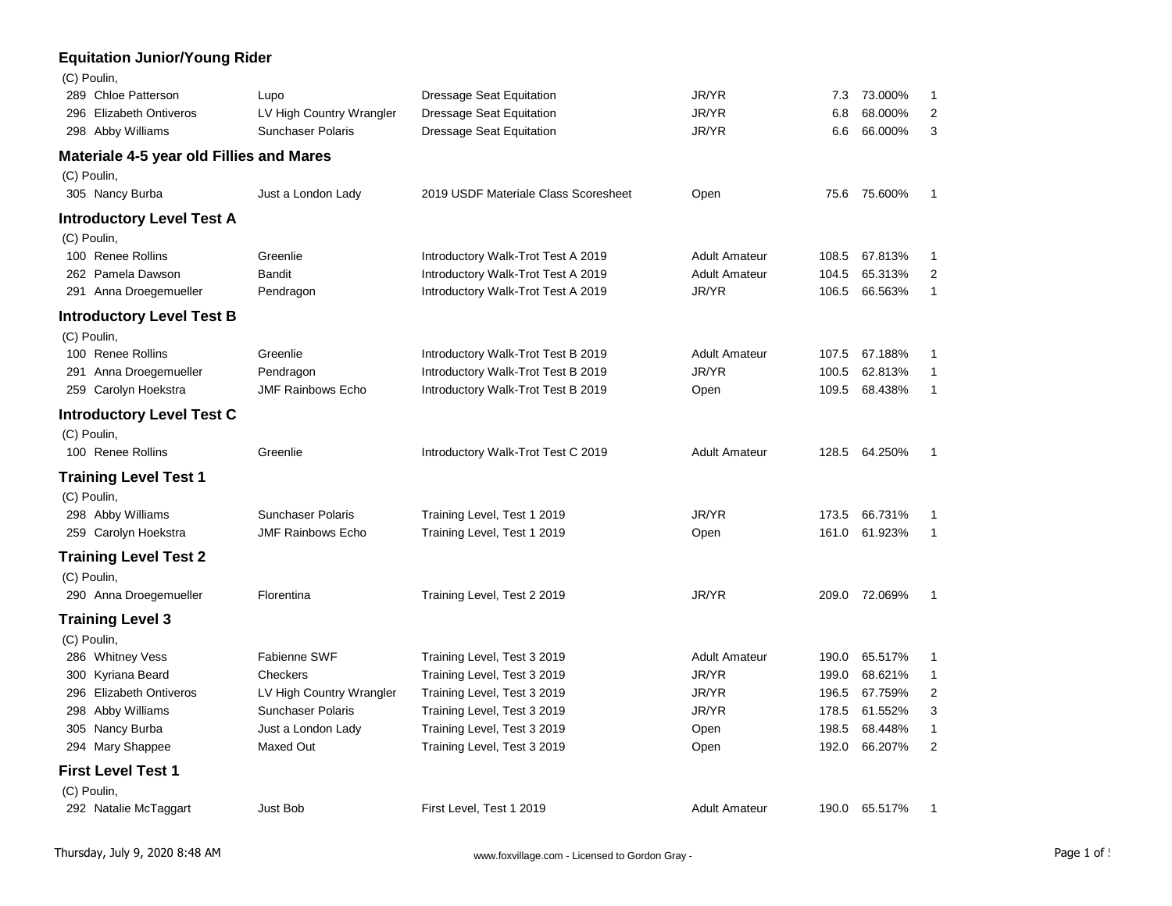| <b>Equitation Junior/Young Rider</b>     |                          |                                      |                      |       |               |              |
|------------------------------------------|--------------------------|--------------------------------------|----------------------|-------|---------------|--------------|
| (C) Poulin,                              |                          |                                      |                      |       |               |              |
| 289 Chloe Patterson                      | Lupo                     | <b>Dressage Seat Equitation</b>      | JR/YR                | 7.3   | 73.000%       | 1            |
| 296 Elizabeth Ontiveros                  | LV High Country Wrangler | Dressage Seat Equitation             | JR/YR                | 6.8   | 68.000%       | 2            |
| 298 Abby Williams                        | <b>Sunchaser Polaris</b> | Dressage Seat Equitation             | JR/YR                | 6.6   | 66.000%       | 3            |
| Materiale 4-5 year old Fillies and Mares |                          |                                      |                      |       |               |              |
| (C) Poulin,                              |                          |                                      |                      |       |               |              |
| 305 Nancy Burba                          | Just a London Lady       | 2019 USDF Materiale Class Scoresheet | Open                 |       | 75.6 75.600%  | 1            |
| <b>Introductory Level Test A</b>         |                          |                                      |                      |       |               |              |
| (C) Poulin,                              |                          |                                      |                      |       |               |              |
| 100 Renee Rollins                        | Greenlie                 | Introductory Walk-Trot Test A 2019   | <b>Adult Amateur</b> |       | 108.5 67.813% | 1            |
| 262 Pamela Dawson                        | Bandit                   | Introductory Walk-Trot Test A 2019   | <b>Adult Amateur</b> | 104.5 | 65.313%       | 2            |
| 291 Anna Droegemueller                   | Pendragon                | Introductory Walk-Trot Test A 2019   | JR/YR                | 106.5 | 66.563%       | 1            |
| <b>Introductory Level Test B</b>         |                          |                                      |                      |       |               |              |
| (C) Poulin,                              |                          |                                      |                      |       |               |              |
| 100 Renee Rollins                        | Greenlie                 | Introductory Walk-Trot Test B 2019   | <b>Adult Amateur</b> | 107.5 | 67.188%       | 1            |
| 291 Anna Droegemueller                   | Pendragon                | Introductory Walk-Trot Test B 2019   | JR/YR                | 100.5 | 62.813%       | 1            |
| 259 Carolyn Hoekstra                     | <b>JMF Rainbows Echo</b> | Introductory Walk-Trot Test B 2019   | Open                 | 109.5 | 68.438%       | 1            |
| <b>Introductory Level Test C</b>         |                          |                                      |                      |       |               |              |
| (C) Poulin,                              |                          |                                      |                      |       |               |              |
| 100 Renee Rollins                        | Greenlie                 | Introductory Walk-Trot Test C 2019   | <b>Adult Amateur</b> |       | 128.5 64.250% | 1            |
| Training Level Test 1                    |                          |                                      |                      |       |               |              |
| (C) Poulin,                              |                          |                                      |                      |       |               |              |
| 298 Abby Williams                        | <b>Sunchaser Polaris</b> | Training Level, Test 1 2019          | JR/YR                | 173.5 | 66.731%       | 1            |
| 259 Carolyn Hoekstra                     | <b>JMF Rainbows Echo</b> | Training Level, Test 1 2019          | Open                 | 161.0 | 61.923%       | 1            |
| Training Level Test 2                    |                          |                                      |                      |       |               |              |
| (C) Poulin,                              |                          |                                      |                      |       |               |              |
| 290 Anna Droegemueller                   | Florentina               | Training Level, Test 2 2019          | JR/YR                |       | 209.0 72.069% | 1            |
| <b>Training Level 3</b>                  |                          |                                      |                      |       |               |              |
| (C) Poulin,                              |                          |                                      |                      |       |               |              |
| 286 Whitney Vess                         | Fabienne SWF             | Training Level, Test 3 2019          | <b>Adult Amateur</b> | 190.0 | 65.517%       | 1            |
| 300 Kyriana Beard                        | <b>Checkers</b>          | Training Level, Test 3 2019          | JR/YR                | 199.0 | 68.621%       | 1            |
| 296 Elizabeth Ontiveros                  | LV High Country Wrangler | Training Level, Test 3 2019          | JR/YR                | 196.5 | 67.759%       | 2            |
| 298 Abby Williams                        | <b>Sunchaser Polaris</b> | Training Level, Test 3 2019          | JR/YR                |       | 178.5 61.552% | 3            |
| 305 Nancy Burba                          | Just a London Lady       | Training Level, Test 3 2019          | Open                 |       | 198.5 68.448% | $\mathbf{1}$ |
| 294 Mary Shappee                         | Maxed Out                | Training Level, Test 3 2019          | Open                 | 192.0 | 66.207%       | 2            |
| <b>First Level Test 1</b>                |                          |                                      |                      |       |               |              |
| (C) Poulin,                              |                          |                                      |                      |       |               |              |
| 292 Natalie McTaggart                    | Just Bob                 | First Level, Test 1 2019             | <b>Adult Amateur</b> |       | 190.0 65.517% | $\mathbf{1}$ |
|                                          |                          |                                      |                      |       |               |              |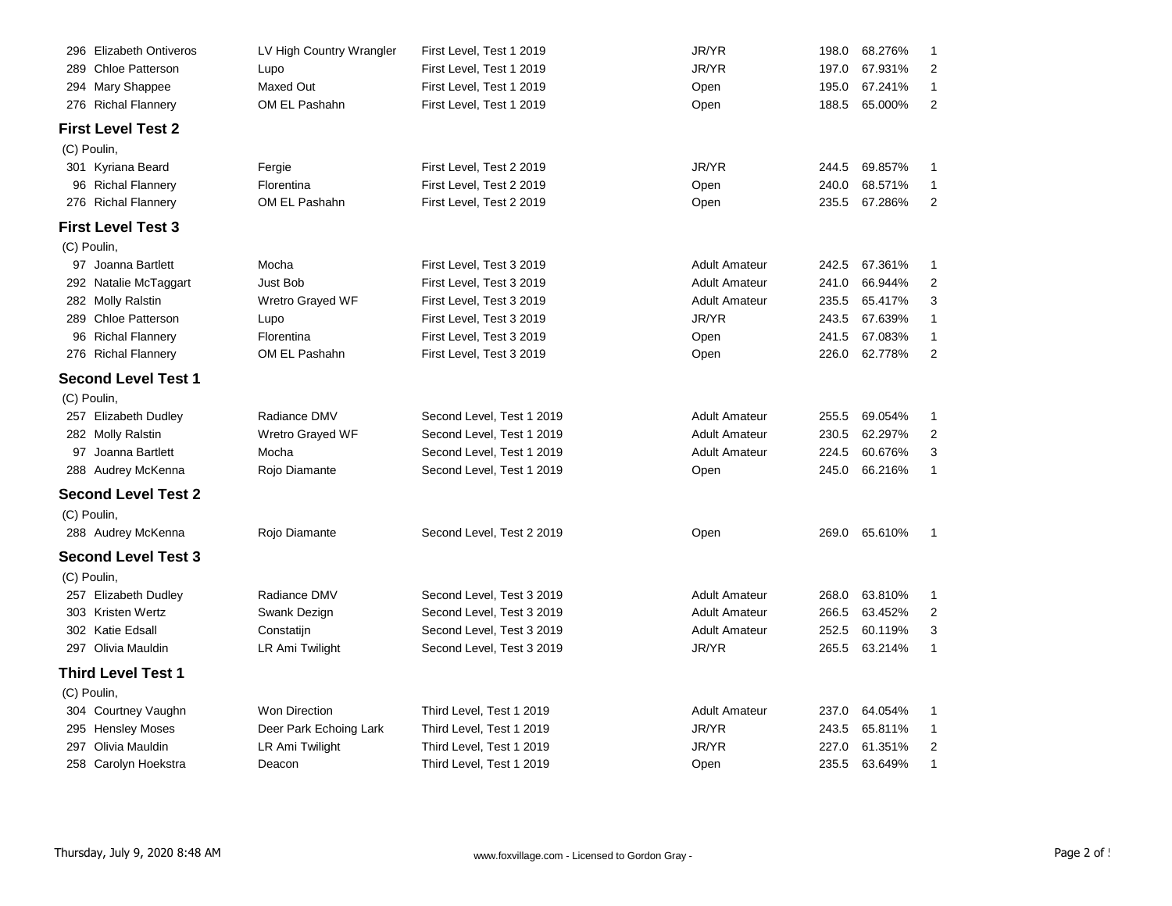|             | 296 Elizabeth Ontiveros    | LV High Country Wrangler | First Level, Test 1 2019  | JR/YR                | 198.0 | 68.276% | 1                       |
|-------------|----------------------------|--------------------------|---------------------------|----------------------|-------|---------|-------------------------|
|             | 289 Chloe Patterson        | Lupo                     | First Level, Test 1 2019  | JR/YR                | 197.0 | 67.931% | $\overline{2}$          |
|             | 294 Mary Shappee           | Maxed Out                | First Level, Test 1 2019  | Open                 | 195.0 | 67.241% | $\mathbf{1}$            |
|             | 276 Richal Flannery        | OM EL Pashahn            | First Level, Test 1 2019  | Open                 | 188.5 | 65.000% | $\overline{2}$          |
|             | <b>First Level Test 2</b>  |                          |                           |                      |       |         |                         |
| (C) Poulin, |                            |                          |                           |                      |       |         |                         |
|             | 301 Kyriana Beard          | Fergie                   | First Level, Test 2 2019  | JR/YR                | 244.5 | 69.857% | -1                      |
|             | 96 Richal Flannery         | Florentina               | First Level, Test 2 2019  | Open                 | 240.0 | 68.571% | $\mathbf{1}$            |
|             | 276 Richal Flannery        | OM EL Pashahn            | First Level, Test 2 2019  | Open                 | 235.5 | 67.286% | $\overline{2}$          |
|             | <b>First Level Test 3</b>  |                          |                           |                      |       |         |                         |
| (C) Poulin, |                            |                          |                           |                      |       |         |                         |
|             | 97 Joanna Bartlett         | Mocha                    | First Level, Test 3 2019  | <b>Adult Amateur</b> | 242.5 | 67.361% | -1                      |
|             | 292 Natalie McTaggart      | <b>Just Bob</b>          | First Level, Test 3 2019  | <b>Adult Amateur</b> | 241.0 | 66.944% | $\overline{2}$          |
|             | 282 Molly Ralstin          | Wretro Grayed WF         | First Level, Test 3 2019  | <b>Adult Amateur</b> | 235.5 | 65.417% | 3                       |
|             | 289 Chloe Patterson        | Lupo                     | First Level, Test 3 2019  | JR/YR                | 243.5 | 67.639% | 1                       |
|             | 96 Richal Flannery         | Florentina               | First Level, Test 3 2019  | Open                 | 241.5 | 67.083% | $\mathbf{1}$            |
|             | 276 Richal Flannery        | OM EL Pashahn            | First Level, Test 3 2019  | Open                 | 226.0 | 62.778% | $\overline{\mathbf{c}}$ |
|             | <b>Second Level Test 1</b> |                          |                           |                      |       |         |                         |
| (C) Poulin, |                            |                          |                           |                      |       |         |                         |
|             | 257 Elizabeth Dudley       | Radiance DMV             | Second Level, Test 1 2019 | <b>Adult Amateur</b> | 255.5 | 69.054% | 1                       |
|             | 282 Molly Ralstin          | Wretro Grayed WF         | Second Level, Test 1 2019 | <b>Adult Amateur</b> | 230.5 | 62.297% | 2                       |
| 97          | Joanna Bartlett            | Mocha                    | Second Level, Test 1 2019 | <b>Adult Amateur</b> | 224.5 | 60.676% | 3                       |
|             | 288 Audrey McKenna         | Rojo Diamante            | Second Level, Test 1 2019 | Open                 | 245.0 | 66.216% | 1                       |
|             | <b>Second Level Test 2</b> |                          |                           |                      |       |         |                         |
| (C) Poulin, |                            |                          |                           |                      |       |         |                         |
|             | 288 Audrey McKenna         | Rojo Diamante            | Second Level, Test 2 2019 | Open                 | 269.0 | 65.610% | 1                       |
|             | <b>Second Level Test 3</b> |                          |                           |                      |       |         |                         |
| (C) Poulin, |                            |                          |                           |                      |       |         |                         |
|             | 257 Elizabeth Dudley       | Radiance DMV             | Second Level, Test 3 2019 | <b>Adult Amateur</b> | 268.0 | 63.810% | 1                       |
|             | 303 Kristen Wertz          | Swank Dezign             | Second Level, Test 3 2019 | <b>Adult Amateur</b> | 266.5 | 63.452% | 2                       |
|             | 302 Katie Edsall           | Constatijn               | Second Level, Test 3 2019 | <b>Adult Amateur</b> | 252.5 | 60.119% | 3                       |
|             | 297 Olivia Mauldin         | LR Ami Twilight          | Second Level, Test 3 2019 | JR/YR                | 265.5 | 63.214% | $\mathbf{1}$            |
|             | <b>Third Level Test 1</b>  |                          |                           |                      |       |         |                         |
| (C) Poulin, |                            |                          |                           |                      |       |         |                         |
|             | 304 Courtney Vaughn        | <b>Won Direction</b>     | Third Level, Test 1 2019  | <b>Adult Amateur</b> | 237.0 | 64.054% | $\mathbf{1}$            |
|             | 295 Hensley Moses          | Deer Park Echoing Lark   | Third Level, Test 1 2019  | JR/YR                | 243.5 | 65.811% | 1                       |
|             | 297 Olivia Mauldin         | LR Ami Twilight          | Third Level, Test 1 2019  | JR/YR                | 227.0 | 61.351% | 2                       |
|             | 258 Carolyn Hoekstra       | Deacon                   | Third Level, Test 1 2019  | Open                 | 235.5 | 63.649% | 1                       |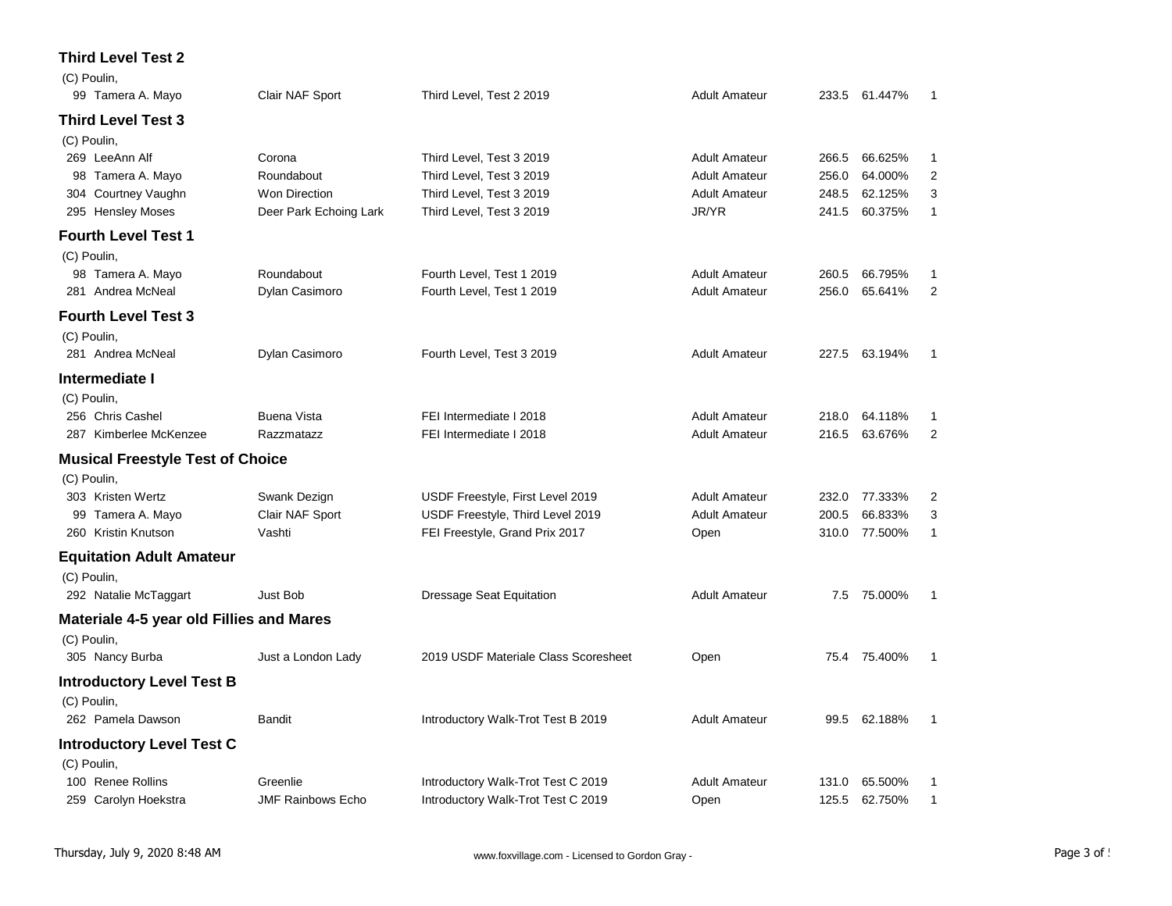## **Third Level Test 2**

| (C) Poulin,                                     |                          |                                      |                      |       |               |                |
|-------------------------------------------------|--------------------------|--------------------------------------|----------------------|-------|---------------|----------------|
| 99 Tamera A. Mayo                               | Clair NAF Sport          | Third Level, Test 2 2019             | <b>Adult Amateur</b> |       | 233.5 61.447% | 1              |
| <b>Third Level Test 3</b>                       |                          |                                      |                      |       |               |                |
| (C) Poulin,                                     |                          |                                      |                      |       |               |                |
| 269 LeeAnn Alf                                  | Corona                   | Third Level, Test 3 2019             | <b>Adult Amateur</b> | 266.5 | 66.625%       | 1              |
| 98 Tamera A. Mayo                               | Roundabout               | Third Level, Test 3 2019             | <b>Adult Amateur</b> | 256.0 | 64.000%       | 2              |
| 304 Courtney Vaughn                             | Won Direction            | Third Level, Test 3 2019             | <b>Adult Amateur</b> | 248.5 | 62.125%       | 3              |
| 295 Hensley Moses                               | Deer Park Echoing Lark   | Third Level, Test 3 2019             | JR/YR                | 241.5 | 60.375%       | 1              |
| <b>Fourth Level Test 1</b>                      |                          |                                      |                      |       |               |                |
| (C) Poulin,                                     |                          |                                      |                      |       |               |                |
| 98 Tamera A. Mayo                               | Roundabout               | Fourth Level, Test 1 2019            | <b>Adult Amateur</b> | 260.5 | 66.795%       | 1              |
| 281 Andrea McNeal                               | Dylan Casimoro           | Fourth Level, Test 1 2019            | <b>Adult Amateur</b> | 256.0 | 65.641%       | $\overline{2}$ |
| <b>Fourth Level Test 3</b>                      |                          |                                      |                      |       |               |                |
| (C) Poulin,                                     |                          |                                      |                      |       |               |                |
| 281 Andrea McNeal                               | Dylan Casimoro           | Fourth Level, Test 3 2019            | <b>Adult Amateur</b> |       | 227.5 63.194% | 1              |
| Intermediate I                                  |                          |                                      |                      |       |               |                |
| (C) Poulin,                                     |                          |                                      |                      |       |               |                |
| 256 Chris Cashel                                | <b>Buena Vista</b>       | FEI Intermediate I 2018              | <b>Adult Amateur</b> | 218.0 | 64.118%       | 1              |
| 287 Kimberlee McKenzee                          | Razzmatazz               | FEI Intermediate I 2018              | <b>Adult Amateur</b> |       | 216.5 63.676% | $\overline{2}$ |
| <b>Musical Freestyle Test of Choice</b>         |                          |                                      |                      |       |               |                |
| (C) Poulin,                                     |                          |                                      |                      |       |               |                |
| 303 Kristen Wertz                               | Swank Dezign             | USDF Freestyle, First Level 2019     | <b>Adult Amateur</b> | 232.0 | 77.333%       | 2              |
| 99 Tamera A. Mayo                               | Clair NAF Sport          | USDF Freestyle, Third Level 2019     | <b>Adult Amateur</b> | 200.5 | 66.833%       | 3              |
| 260 Kristin Knutson                             | Vashti                   | FEI Freestyle, Grand Prix 2017       | Open                 |       | 310.0 77.500% | $\mathbf{1}$   |
| <b>Equitation Adult Amateur</b>                 |                          |                                      |                      |       |               |                |
| (C) Poulin,                                     |                          |                                      |                      |       |               |                |
| 292 Natalie McTaggart                           | Just Bob                 | <b>Dressage Seat Equitation</b>      | <b>Adult Amateur</b> |       | 7.5 75.000%   | 1              |
| <b>Materiale 4-5 year old Fillies and Mares</b> |                          |                                      |                      |       |               |                |
| (C) Poulin,                                     |                          |                                      |                      |       |               |                |
| 305 Nancy Burba                                 | Just a London Lady       | 2019 USDF Materiale Class Scoresheet | Open                 |       | 75.4 75.400%  | -1             |
| <b>Introductory Level Test B</b>                |                          |                                      |                      |       |               |                |
| (C) Poulin,                                     |                          |                                      |                      |       |               |                |
| 262 Pamela Dawson                               | <b>Bandit</b>            | Introductory Walk-Trot Test B 2019   | <b>Adult Amateur</b> |       | 99.5 62.188%  | 1              |
| <b>Introductory Level Test C</b>                |                          |                                      |                      |       |               |                |
| (C) Poulin,                                     |                          |                                      |                      |       |               |                |
| 100 Renee Rollins                               | Greenlie                 | Introductory Walk-Trot Test C 2019   | <b>Adult Amateur</b> | 131.0 | 65.500%       | 1              |
| 259 Carolyn Hoekstra                            | <b>JMF Rainbows Echo</b> | Introductory Walk-Trot Test C 2019   | Open                 |       | 125.5 62.750% | 1              |
|                                                 |                          |                                      |                      |       |               |                |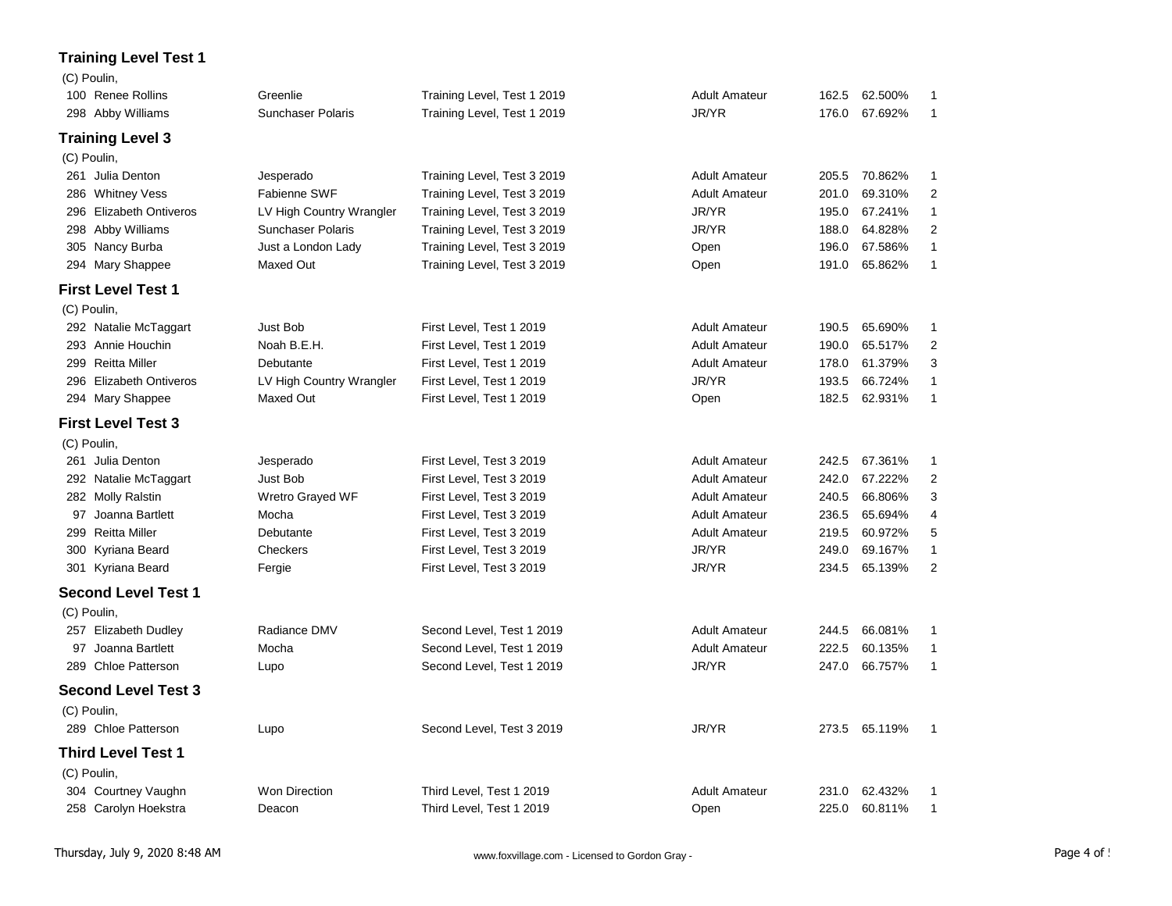## **Training Level Test 1**

|    | (C) Poulin,                |                          |                             |                      |       |               |                |
|----|----------------------------|--------------------------|-----------------------------|----------------------|-------|---------------|----------------|
|    | 100 Renee Rollins          | Greenlie                 | Training Level, Test 1 2019 | <b>Adult Amateur</b> | 162.5 | 62.500%       | 1              |
|    | 298 Abby Williams          | <b>Sunchaser Polaris</b> | Training Level, Test 1 2019 | JR/YR                | 176.0 | 67.692%       | 1              |
|    | <b>Training Level 3</b>    |                          |                             |                      |       |               |                |
|    | (C) Poulin,                |                          |                             |                      |       |               |                |
|    | 261 Julia Denton           | Jesperado                | Training Level, Test 3 2019 | <b>Adult Amateur</b> | 205.5 | 70.862%       | 1              |
|    | 286 Whitney Vess           | Fabienne SWF             | Training Level, Test 3 2019 | <b>Adult Amateur</b> | 201.0 | 69.310%       | 2              |
|    | 296 Elizabeth Ontiveros    | LV High Country Wrangler | Training Level, Test 3 2019 | JR/YR                | 195.0 | 67.241%       | 1              |
|    | 298 Abby Williams          | <b>Sunchaser Polaris</b> | Training Level, Test 3 2019 | JR/YR                | 188.0 | 64.828%       | $\overline{2}$ |
|    | 305 Nancy Burba            | Just a London Lady       | Training Level, Test 3 2019 | Open                 | 196.0 | 67.586%       | 1              |
|    | 294 Mary Shappee           | Maxed Out                | Training Level, Test 3 2019 | Open                 | 191.0 | 65.862%       | 1              |
|    | <b>First Level Test 1</b>  |                          |                             |                      |       |               |                |
|    | (C) Poulin,                |                          |                             |                      |       |               |                |
|    | 292 Natalie McTaggart      | Just Bob                 | First Level, Test 1 2019    | <b>Adult Amateur</b> | 190.5 | 65.690%       | 1              |
|    | 293 Annie Houchin          | Noah B.E.H.              | First Level, Test 1 2019    | <b>Adult Amateur</b> | 190.0 | 65.517%       | $\overline{c}$ |
|    | 299 Reitta Miller          | Debutante                | First Level, Test 1 2019    | <b>Adult Amateur</b> | 178.0 | 61.379%       | 3              |
|    | 296 Elizabeth Ontiveros    | LV High Country Wrangler | First Level, Test 1 2019    | JR/YR                | 193.5 | 66.724%       | 1              |
|    | 294 Mary Shappee           | Maxed Out                | First Level, Test 1 2019    | Open                 | 182.5 | 62.931%       | $\mathbf{1}$   |
|    | <b>First Level Test 3</b>  |                          |                             |                      |       |               |                |
|    | (C) Poulin,                |                          |                             |                      |       |               |                |
|    | 261 Julia Denton           | Jesperado                | First Level, Test 3 2019    | <b>Adult Amateur</b> | 242.5 | 67.361%       | 1              |
|    | 292 Natalie McTaggart      | Just Bob                 | First Level, Test 3 2019    | <b>Adult Amateur</b> | 242.0 | 67.222%       | $\overline{2}$ |
|    | 282 Molly Ralstin          | Wretro Grayed WF         | First Level, Test 3 2019    | <b>Adult Amateur</b> | 240.5 | 66.806%       | 3              |
|    | 97 Joanna Bartlett         | Mocha                    | First Level, Test 3 2019    | <b>Adult Amateur</b> | 236.5 | 65.694%       | 4              |
|    | 299 Reitta Miller          | Debutante                | First Level, Test 3 2019    | <b>Adult Amateur</b> | 219.5 | 60.972%       | 5              |
|    | 300 Kyriana Beard          | Checkers                 | First Level, Test 3 2019    | JR/YR                | 249.0 | 69.167%       | 1              |
|    | 301 Kyriana Beard          | Fergie                   | First Level, Test 3 2019    | JR/YR                | 234.5 | 65.139%       | $\overline{2}$ |
|    | <b>Second Level Test 1</b> |                          |                             |                      |       |               |                |
|    | (C) Poulin,                |                          |                             |                      |       |               |                |
|    | 257 Elizabeth Dudley       | Radiance DMV             | Second Level, Test 1 2019   | <b>Adult Amateur</b> | 244.5 | 66.081%       | 1              |
| 97 | Joanna Bartlett            | Mocha                    | Second Level, Test 1 2019   | <b>Adult Amateur</b> | 222.5 | 60.135%       | 1              |
|    | 289 Chloe Patterson        | Lupo                     | Second Level, Test 1 2019   | JR/YR                | 247.0 | 66.757%       | 1              |
|    | <b>Second Level Test 3</b> |                          |                             |                      |       |               |                |
|    | (C) Poulin,                |                          |                             |                      |       |               |                |
|    | 289 Chloe Patterson        | Lupo                     | Second Level, Test 3 2019   | JR/YR                |       | 273.5 65.119% | 1              |
|    | Third Level Test 1         |                          |                             |                      |       |               |                |
|    | (C) Poulin,                |                          |                             |                      |       |               |                |
|    | 304 Courtney Vaughn        | <b>Won Direction</b>     | Third Level, Test 1 2019    | <b>Adult Amateur</b> | 231.0 | 62.432%       | 1              |
|    | 258 Carolyn Hoekstra       | Deacon                   | Third Level, Test 1 2019    | Open                 | 225.0 | 60.811%       | 1              |
|    |                            |                          |                             |                      |       |               |                |